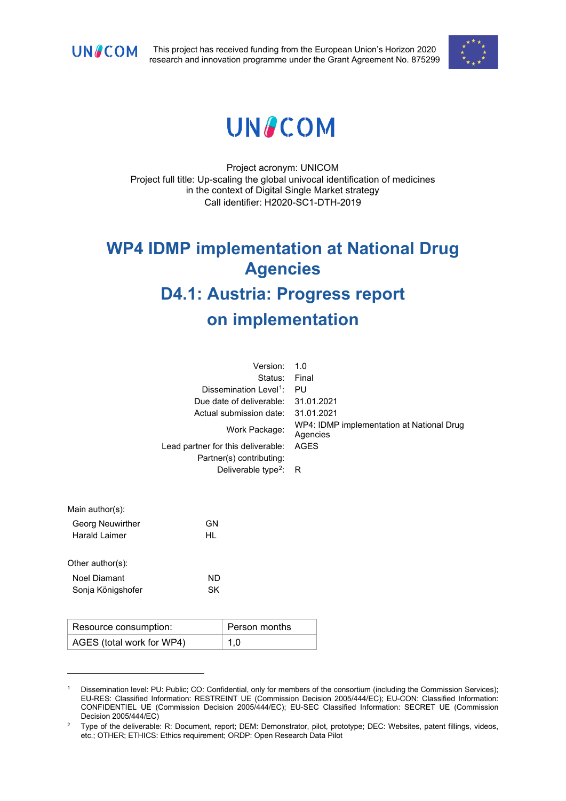

This project has received funding from the European Union's Horizon 2020 research and innovation programme under the Grant Agreement No. 875299



# **UNACOM**

Project acronym: UNICOM Project full title: Up-scaling the global univocal identification of medicines in the context of Digital Single Market strategy Call identifier: H2020-SC1-DTH-2019

# **WP4 IDMP implementation at National Drug Agencies D4.1: Austria: Progress report on implementation**

| 1.0                                                   |
|-------------------------------------------------------|
| Final                                                 |
| PU                                                    |
| 31.01.2021                                            |
| 31.01.2021                                            |
| WP4: IDMP implementation at National Drug<br>Agencies |
| <b>AGES</b>                                           |
|                                                       |
| Deliverable type <sup>2</sup> : R                     |
|                                                       |
|                                                       |
|                                                       |

| Main author(s):         |    |
|-------------------------|----|
| <b>Georg Neuwirther</b> | GN |
| <b>Harald Laimer</b>    | HL |
|                         |    |
| Other $author(s)$ :     |    |
| Noel Diamant            | ND |
| Sonja Königshofer       | SK |
|                         |    |

| Resource consumption:     | Person months |
|---------------------------|---------------|
| AGES (total work for WP4) | 1,0           |

<span id="page-0-0"></span><sup>1</sup> Dissemination level: PU: Public; CO: Confidential, only for members of the consortium (including the Commission Services); EU-RES: Classified Information: RESTREINT UE (Commission Decision 2005/444/EC); EU-CON: Classified Information: CONFIDENTIEL UE (Commission Decision 2005/444/EC); EU-SEC Classified Information: SECRET UE (Commission Decision 2005/444/EC)

<span id="page-0-1"></span><sup>&</sup>lt;sup>2</sup> Type of the deliverable: R: Document, report; DEM: Demonstrator, pilot, prototype; DEC: Websites, patent fillings, videos, etc.; OTHER; ETHICS: Ethics requirement; ORDP: Open Research Data Pilot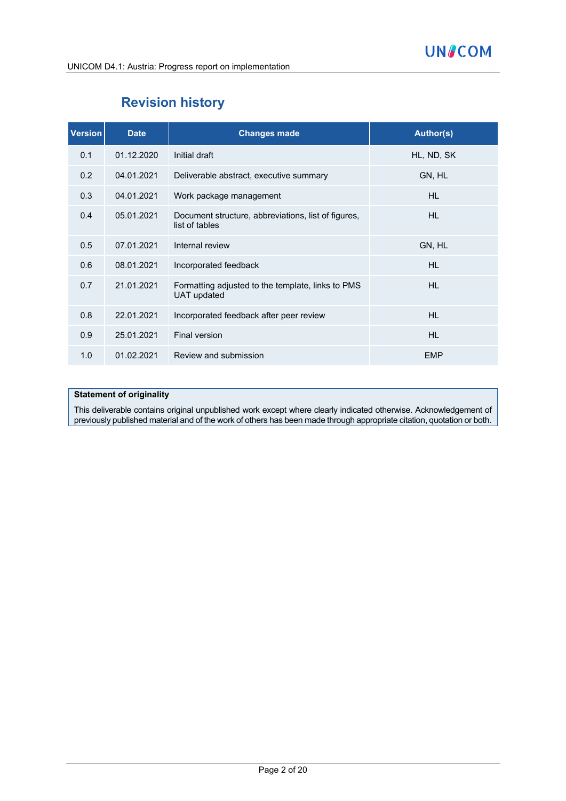# **Revision history**

| <b>Version</b> | <b>Date</b> | <b>Changes made</b>                                                     | <b>Author(s)</b> |
|----------------|-------------|-------------------------------------------------------------------------|------------------|
| 0.1            | 01.12.2020  | Initial draft                                                           | HL, ND, SK       |
| 0.2            | 04.01.2021  | Deliverable abstract, executive summary                                 | GN, HL           |
| 0.3            | 04.01.2021  | Work package management                                                 | <b>HL</b>        |
| 0.4            | 05.01.2021  | Document structure, abbreviations, list of figures,<br>list of tables   | <b>HL</b>        |
| 0.5            | 07.01.2021  | Internal review                                                         | GN, HL           |
| 0.6            | 08.01.2021  | Incorporated feedback                                                   | <b>HL</b>        |
| 0.7            | 21.01.2021  | Formatting adjusted to the template, links to PMS<br><b>UAT updated</b> | <b>HL</b>        |
| 0.8            | 22.01.2021  | Incorporated feedback after peer review                                 | <b>HL</b>        |
| 0.9            | 25.01.2021  | Final version                                                           | <b>HL</b>        |
| 1.0            | 01.02.2021  | Review and submission                                                   | <b>EMP</b>       |

#### **Statement of originality**

This deliverable contains original unpublished work except where clearly indicated otherwise. Acknowledgement of previously published material and of the work of others has been made through appropriate citation, quotation or both.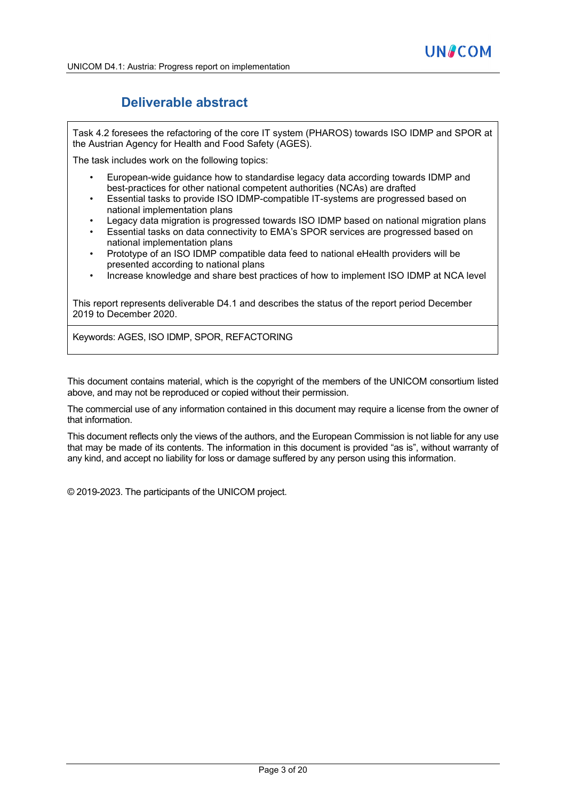# **Deliverable abstract**

Task 4.2 foresees the refactoring of the core IT system (PHAROS) towards ISO IDMP and SPOR at the Austrian Agency for Health and Food Safety (AGES).

The task includes work on the following topics:

- European-wide guidance how to standardise legacy data according towards IDMP and best-practices for other national competent authorities (NCAs) are drafted
- Essential tasks to provide ISO IDMP-compatible IT-systems are progressed based on national implementation plans
- Legacy data migration is progressed towards ISO IDMP based on national migration plans
- Essential tasks on data connectivity to EMA's SPOR services are progressed based on national implementation plans
- Prototype of an ISO IDMP compatible data feed to national eHealth providers will be presented according to national plans
- Increase knowledge and share best practices of how to implement ISO IDMP at NCA level

This report represents deliverable D4.1 and describes the status of the report period December 2019 to December 2020.

Keywords: AGES, ISO IDMP, SPOR, REFACTORING

This document contains material, which is the copyright of the members of the UNICOM consortium listed above, and may not be reproduced or copied without their permission.

The commercial use of any information contained in this document may require a license from the owner of that information.

This document reflects only the views of the authors, and the European Commission is not liable for any use that may be made of its contents. The information in this document is provided "as is", without warranty of any kind, and accept no liability for loss or damage suffered by any person using this information.

© 2019-2023. The participants of the UNICOM project.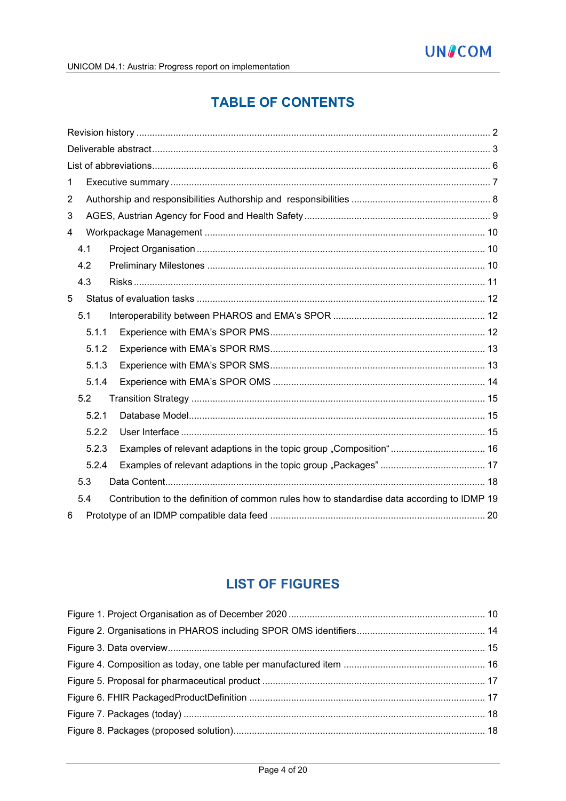# **TABLE OF CONTENTS**

| 1                                                                                                  |  |
|----------------------------------------------------------------------------------------------------|--|
| $\overline{2}$                                                                                     |  |
| 3                                                                                                  |  |
| $\overline{4}$                                                                                     |  |
| 4.1                                                                                                |  |
| 4.2                                                                                                |  |
| 4.3                                                                                                |  |
| 5                                                                                                  |  |
| 5.1                                                                                                |  |
| 5.1.1                                                                                              |  |
| 5.1.2                                                                                              |  |
| 5.1.3                                                                                              |  |
| 5.1.4                                                                                              |  |
| 5.2                                                                                                |  |
| 5.2.1                                                                                              |  |
| 5.2.2                                                                                              |  |
| Examples of relevant adaptions in the topic group "Composition" 16<br>5.2.3                        |  |
| 5.2.4                                                                                              |  |
| 5.3                                                                                                |  |
| Contribution to the definition of common rules how to standardise data according to IDMP 19<br>5.4 |  |
| 6                                                                                                  |  |

# **LIST OF FIGURES**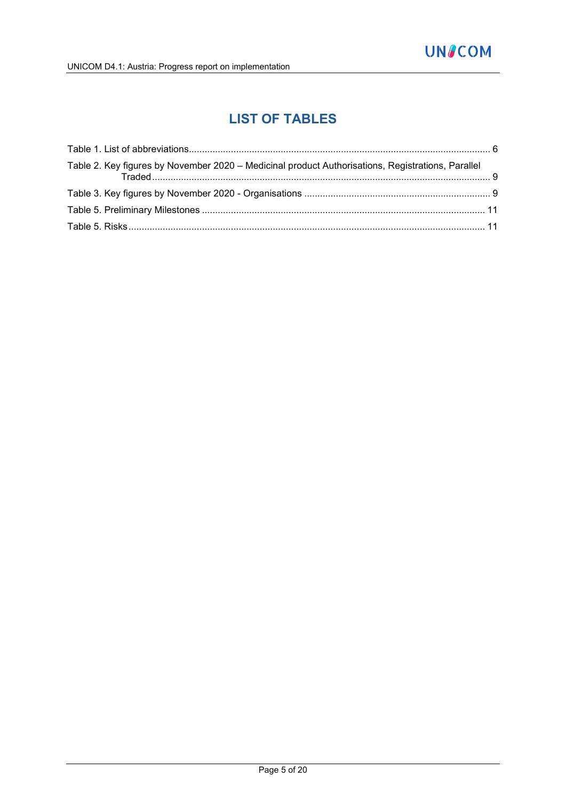# **LIST OF TABLES**

| Table 2. Key figures by November 2020 - Medicinal product Authorisations, Registrations, Parallel |  |
|---------------------------------------------------------------------------------------------------|--|
|                                                                                                   |  |
|                                                                                                   |  |
|                                                                                                   |  |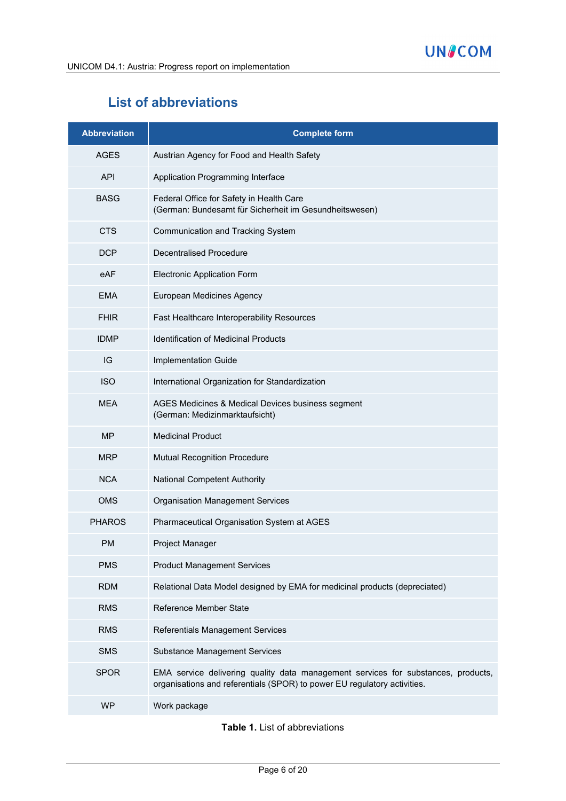# **List of abbreviations**

| <b>Abbreviation</b> | <b>Complete form</b>                                                                                                                                          |
|---------------------|---------------------------------------------------------------------------------------------------------------------------------------------------------------|
| <b>AGES</b>         | Austrian Agency for Food and Health Safety                                                                                                                    |
| <b>API</b>          | Application Programming Interface                                                                                                                             |
| <b>BASG</b>         | Federal Office for Safety in Health Care<br>(German: Bundesamt für Sicherheit im Gesundheitswesen)                                                            |
| <b>CTS</b>          | Communication and Tracking System                                                                                                                             |
| <b>DCP</b>          | <b>Decentralised Procedure</b>                                                                                                                                |
| eAF                 | <b>Electronic Application Form</b>                                                                                                                            |
| <b>EMA</b>          | European Medicines Agency                                                                                                                                     |
| <b>FHIR</b>         | Fast Healthcare Interoperability Resources                                                                                                                    |
| <b>IDMP</b>         | <b>Identification of Medicinal Products</b>                                                                                                                   |
| IG                  | Implementation Guide                                                                                                                                          |
| <b>ISO</b>          | International Organization for Standardization                                                                                                                |
| <b>MEA</b>          | AGES Medicines & Medical Devices business segment<br>(German: Medizinmarktaufsicht)                                                                           |
| <b>MP</b>           | <b>Medicinal Product</b>                                                                                                                                      |
| <b>MRP</b>          | <b>Mutual Recognition Procedure</b>                                                                                                                           |
| <b>NCA</b>          | <b>National Competent Authority</b>                                                                                                                           |
| <b>OMS</b>          | <b>Organisation Management Services</b>                                                                                                                       |
| <b>PHAROS</b>       | Pharmaceutical Organisation System at AGES                                                                                                                    |
| <b>PM</b>           | Project Manager                                                                                                                                               |
| <b>PMS</b>          | <b>Product Management Services</b>                                                                                                                            |
| <b>RDM</b>          | Relational Data Model designed by EMA for medicinal products (depreciated)                                                                                    |
| <b>RMS</b>          | <b>Reference Member State</b>                                                                                                                                 |
| <b>RMS</b>          | <b>Referentials Management Services</b>                                                                                                                       |
| <b>SMS</b>          | <b>Substance Management Services</b>                                                                                                                          |
| <b>SPOR</b>         | EMA service delivering quality data management services for substances, products,<br>organisations and referentials (SPOR) to power EU regulatory activities. |
| <b>WP</b>           | Work package                                                                                                                                                  |

**Table 1.** List of abbreviations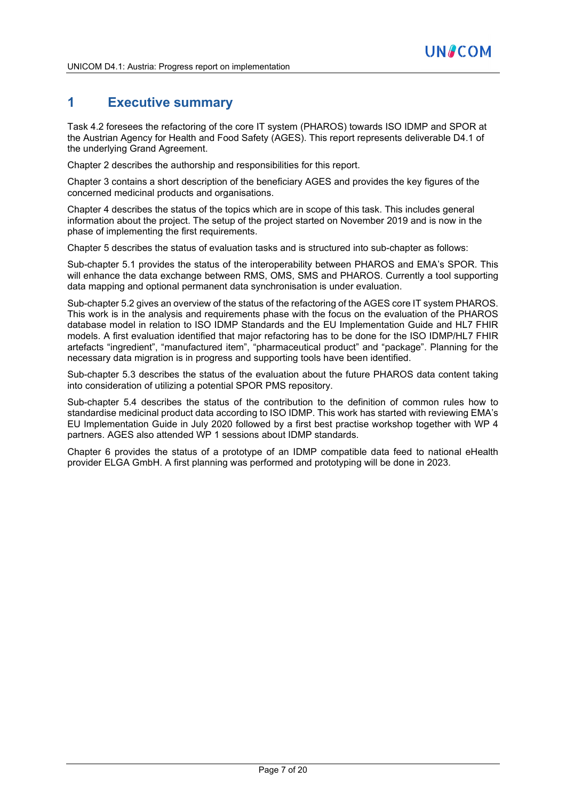# **1 Executive summary**

Task 4.2 foresees the refactoring of the core IT system (PHAROS) towards ISO IDMP and SPOR at the Austrian Agency for Health and Food Safety (AGES). This report represents deliverable D4.1 of the underlying Grand Agreement.

Chapter 2 describes the authorship and responsibilities for this report.

Chapter 3 contains a short description of the beneficiary AGES and provides the key figures of the concerned medicinal products and organisations.

Chapter 4 describes the status of the topics which are in scope of this task. This includes general information about the project. The setup of the project started on November 2019 and is now in the phase of implementing the first requirements.

Chapter 5 describes the status of evaluation tasks and is structured into sub-chapter as follows:

Sub-chapter 5.1 provides the status of the interoperability between PHAROS and EMA's SPOR. This will enhance the data exchange between RMS, OMS, SMS and PHAROS. Currently a tool supporting data mapping and optional permanent data synchronisation is under evaluation.

Sub-chapter 5.2 gives an overview of the status of the refactoring of the AGES core IT system PHAROS. This work is in the analysis and requirements phase with the focus on the evaluation of the PHAROS database model in relation to ISO IDMP Standards and the EU Implementation Guide and HL7 FHIR models. A first evaluation identified that major refactoring has to be done for the ISO IDMP/HL7 FHIR artefacts "ingredient", "manufactured item", "pharmaceutical product" and "package". Planning for the necessary data migration is in progress and supporting tools have been identified.

Sub-chapter 5.3 describes the status of the evaluation about the future PHAROS data content taking into consideration of utilizing a potential SPOR PMS repository.

Sub-chapter 5.4 describes the status of the contribution to the definition of common rules how to standardise medicinal product data according to ISO IDMP. This work has started with reviewing EMA's EU Implementation Guide in July 2020 followed by a first best practise workshop together with WP 4 partners. AGES also attended WP 1 sessions about IDMP standards.

Chapter 6 provides the status of a prototype of an IDMP compatible data feed to national eHealth provider ELGA GmbH. A first planning was performed and prototyping will be done in 2023.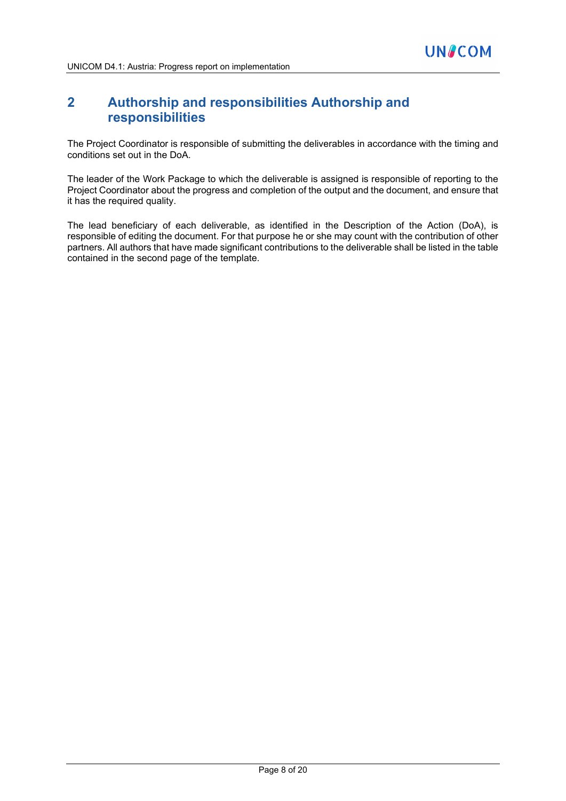# **2 Authorship and responsibilities Authorship and responsibilities**

The Project Coordinator is responsible of submitting the deliverables in accordance with the timing and conditions set out in the DoA.

The leader of the Work Package to which the deliverable is assigned is responsible of reporting to the Project Coordinator about the progress and completion of the output and the document, and ensure that it has the required quality.

The lead beneficiary of each deliverable, as identified in the Description of the Action (DoA), is responsible of editing the document. For that purpose he or she may count with the contribution of other partners. All authors that have made significant contributions to the deliverable shall be listed in the table contained in the second page of the template.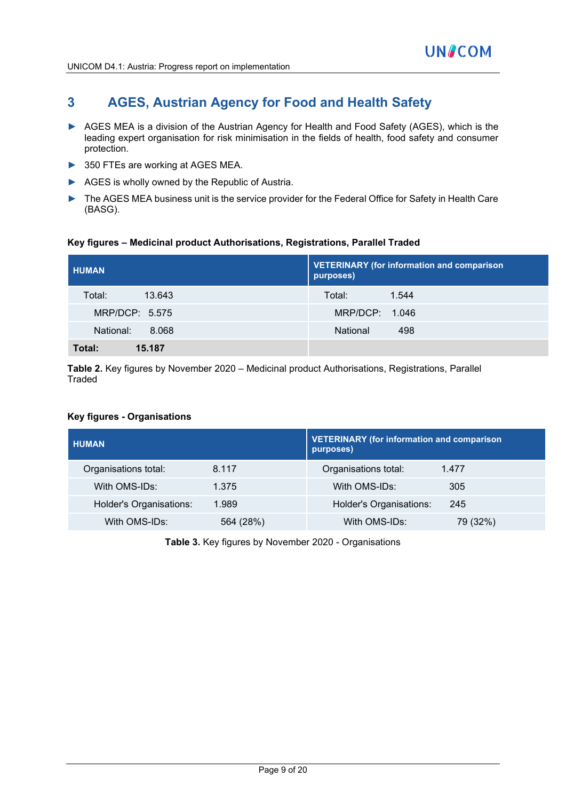# **3 AGES, Austrian Agency for Food and Health Safety**

- ► AGES MEA is a division of the Austrian Agency for Health and Food Safety (AGES), which is the leading expert organisation for risk minimisation in the fields of health, food safety and consumer protection.
- ► 350 FTEs are working at AGES MEA.
- ► AGES is wholly owned by the Republic of Austria.
- ► The AGES MEA business unit is the service provider for the Federal Office for Safety in Health Care (BASG).

#### **Key figures – Medicinal product Authorisations, Registrations, Parallel Traded**

| <b>HUMAN</b>       | <b>VETERINARY (for information and comparison</b><br>purposes) |  |
|--------------------|----------------------------------------------------------------|--|
| Total:<br>13.643   | 1.544<br>Total:                                                |  |
| MRP/DCP: 5.575     | MRP/DCP: 1.046                                                 |  |
| National:<br>8.068 | National<br>498                                                |  |
| 15.187<br>Total:   |                                                                |  |

**Table 2.** Key figures by November 2020 – Medicinal product Authorisations, Registrations, Parallel **Traded** 

#### **Key figures - Organisations**

| <b>HUMAN</b>                   |           | <b>VETERINARY (for information and comparison</b><br>purposes) |          |
|--------------------------------|-----------|----------------------------------------------------------------|----------|
| Organisations total:           | 8.117     | Organisations total:                                           | 1.477    |
| With OMS-IDs:                  | 1.375     | With OMS-IDs:                                                  | 305      |
| <b>Holder's Organisations:</b> | 1.989     | Holder's Organisations:                                        | 245      |
| With OMS-IDs:                  | 564 (28%) | With OMS-IDs:                                                  | 79 (32%) |

**Table 3.** Key figures by November 2020 - Organisations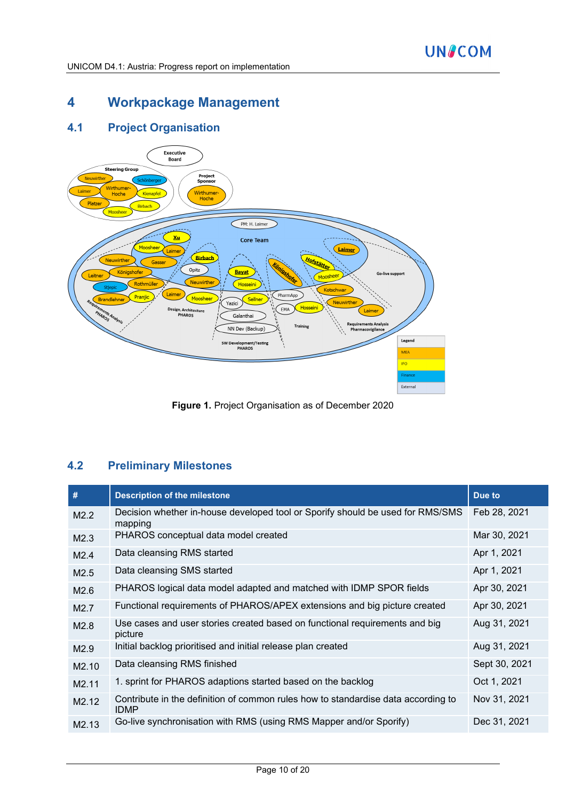# **4 Workpackage Management**

# **4.1 Project Organisation**



**Figure 1.** Project Organisation as of December 2020

# **4.2 Preliminary Milestones**

| #                 | <b>Description of the milestone</b>                                                              | Due to        |
|-------------------|--------------------------------------------------------------------------------------------------|---------------|
| M2.2              | Decision whether in-house developed tool or Sporify should be used for RMS/SMS<br>mapping        | Feb 28, 2021  |
| M2.3              | PHAROS conceptual data model created                                                             | Mar 30, 2021  |
| M2.4              | Data cleansing RMS started                                                                       | Apr 1, 2021   |
| M2.5              | Data cleansing SMS started                                                                       | Apr 1, 2021   |
| M2.6              | PHAROS logical data model adapted and matched with IDMP SPOR fields                              | Apr 30, 2021  |
| M <sub>2.7</sub>  | Functional requirements of PHAROS/APEX extensions and big picture created                        | Apr 30, 2021  |
| M2.8              | Use cases and user stories created based on functional requirements and big<br>picture           | Aug 31, 2021  |
| M2.9              | Initial backlog prioritised and initial release plan created                                     | Aug 31, 2021  |
| M <sub>2.10</sub> | Data cleansing RMS finished                                                                      | Sept 30, 2021 |
| M <sub>2.11</sub> | 1. sprint for PHAROS adaptions started based on the backlog                                      | Oct 1, 2021   |
| M2.12             | Contribute in the definition of common rules how to standardise data according to<br><b>IDMP</b> | Nov 31, 2021  |
| M <sub>2.13</sub> | Go-live synchronisation with RMS (using RMS Mapper and/or Sporify)                               | Dec 31, 2021  |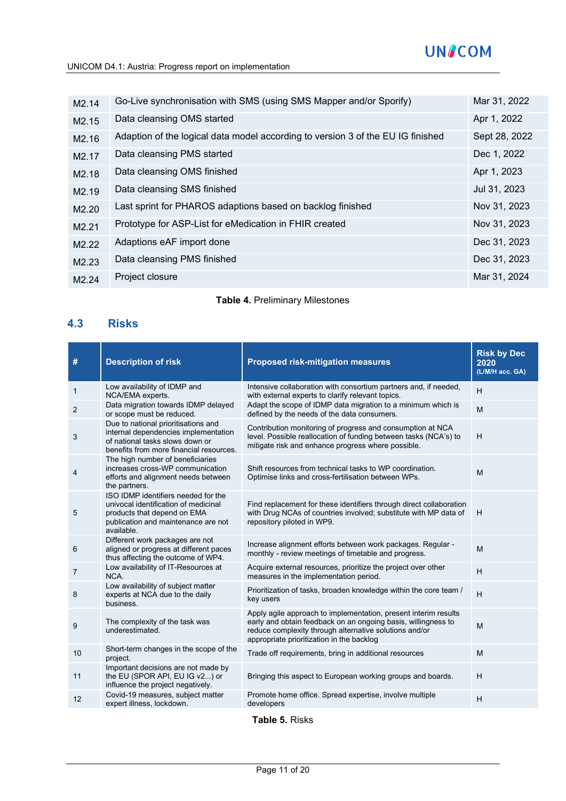# **UN&COM**

| M <sub>2.14</sub> | Go-Live synchronisation with SMS (using SMS Mapper and/or Sporify)              | Mar 31, 2022  |
|-------------------|---------------------------------------------------------------------------------|---------------|
| M <sub>2.15</sub> | Data cleansing OMS started                                                      | Apr 1, 2022   |
| M <sub>2.16</sub> | Adaption of the logical data model according to version 3 of the EU IG finished | Sept 28, 2022 |
| M <sub>2.17</sub> | Data cleansing PMS started                                                      | Dec 1, 2022   |
| M <sub>2.18</sub> | Data cleansing OMS finished                                                     | Apr 1, 2023   |
| M <sub>2.19</sub> | Data cleansing SMS finished                                                     | Jul 31, 2023  |
| M <sub>2.20</sub> | Last sprint for PHAROS adaptions based on backlog finished                      | Nov 31, 2023  |
| M <sub>2.21</sub> | Prototype for ASP-List for eMedication in FHIR created                          | Nov 31, 2023  |
| M <sub>2.22</sub> | Adaptions eAF import done                                                       | Dec 31, 2023  |
| M <sub>2.23</sub> | Data cleansing PMS finished                                                     | Dec 31, 2023  |
| M <sub>2.24</sub> | Project closure                                                                 | Mar 31, 2024  |
|                   |                                                                                 |               |

#### **Table 4.** Preliminary Milestones

### **4.3 Risks**

| #  | <b>Description of risk</b>                                                                                                                                      | <b>Proposed risk-mitigation measures</b>                                                                                                                                                                                                | <b>Risk by Dec</b><br>2020<br>(L/M/H acc. GA) |
|----|-----------------------------------------------------------------------------------------------------------------------------------------------------------------|-----------------------------------------------------------------------------------------------------------------------------------------------------------------------------------------------------------------------------------------|-----------------------------------------------|
| 1  | Low availability of IDMP and<br>NCA/EMA experts.                                                                                                                | Intensive collaboration with consortium partners and, if needed,<br>with external experts to clarify relevant topics.                                                                                                                   | H                                             |
| 2  | Data migration towards IDMP delayed<br>or scope must be reduced.                                                                                                | Adapt the scope of IDMP data migration to a minimum which is<br>defined by the needs of the data consumers.                                                                                                                             | M                                             |
| 3  | Due to national prioritisations and<br>internal dependencies implementation<br>of national tasks slows down or<br>benefits from more financial resources.       | Contribution monitoring of progress and consumption at NCA<br>level. Possible reallocation of funding between tasks (NCA's) to<br>mitigate risk and enhance progress where possible.                                                    | H                                             |
| 4  | The high number of beneficiaries<br>increases cross-WP communication<br>efforts and alignment needs between<br>the partners.                                    | Shift resources from technical tasks to WP coordination.<br>Optimise links and cross-fertilisation between WPs.                                                                                                                         | M                                             |
| 5  | ISO IDMP identifiers needed for the<br>univocal identification of medicinal<br>products that depend on EMA<br>publication and maintenance are not<br>available. | Find replacement for these identifiers through direct collaboration<br>with Drug NCAs of countries involved; substitute with MP data of<br>repository piloted in WP9.                                                                   | H                                             |
| 6  | Different work packages are not<br>aligned or progress at different paces<br>thus affecting the outcome of WP4.                                                 | Increase alignment efforts between work packages. Regular -<br>monthly - review meetings of timetable and progress.                                                                                                                     | M                                             |
| 7  | Low availability of IT-Resources at<br>NCA.                                                                                                                     | Acquire external resources, prioritize the project over other<br>measures in the implementation period.                                                                                                                                 | H                                             |
| 8  | Low availability of subject matter<br>experts at NCA due to the daily<br>business.                                                                              | Prioritization of tasks, broaden knowledge within the core team /<br>key users                                                                                                                                                          | H                                             |
| 9  | The complexity of the task was<br>underestimated.                                                                                                               | Apply agile approach to implementation, present interim results<br>early and obtain feedback on an ongoing basis, willingness to<br>reduce complexity through alternative solutions and/or<br>appropriate prioritization in the backlog | M                                             |
| 10 | Short-term changes in the scope of the<br>project.                                                                                                              | Trade off requirements, bring in additional resources                                                                                                                                                                                   | M                                             |
| 11 | Important decisions are not made by<br>the EU (SPOR API, EU IG v2) or<br>influence the project negatively.                                                      | Bringing this aspect to European working groups and boards.                                                                                                                                                                             | H                                             |
| 12 | Covid-19 measures, subject matter<br>expert illness, lockdown.                                                                                                  | Promote home office. Spread expertise, involve multiple<br>developers                                                                                                                                                                   | Н                                             |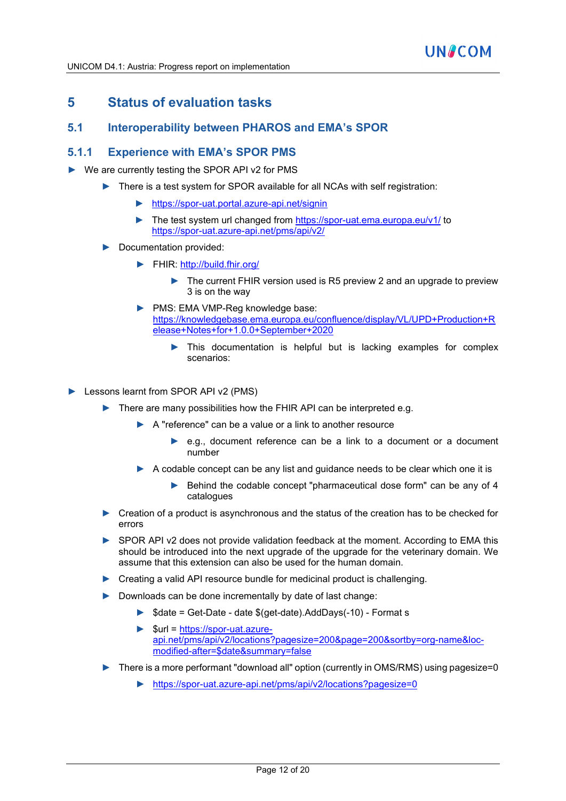## **5 Status of evaluation tasks**

### **5.1 Interoperability between PHAROS and EMA's SPOR**

#### **5.1.1 Experience with EMA's SPOR PMS**

- ► We are currently testing the SPOR API v2 for PMS
	- ► There is a test system for SPOR available for all NCAs with self registration:
		- ► <https://spor-uat.portal.azure-api.net/signin>
		- ► The test system url changed from<https://spor-uat.ema.europa.eu/v1/> to <https://spor-uat.azure-api.net/pms/api/v2/>
	- Documentation provided:
		- ► FHIR:<http://build.fhir.org/>
			- The current FHIR version used is R5 preview 2 and an upgrade to preview 3 is on the way
		- ► PMS: EMA VMP-Reg knowledge base: [https://knowledgebase.ema.europa.eu/confluence/display/VL/UPD+Production+R](https://knowledgebase.ema.europa.eu/confluence/display/VL/UPD+Production+Release+Notes+for+1.0.0+September+2020) [elease+Notes+for+1.0.0+September+2020](https://knowledgebase.ema.europa.eu/confluence/display/VL/UPD+Production+Release+Notes+for+1.0.0+September+2020)
			- This documentation is helpful but is lacking examples for complex scenarios:

► Lessons learnt from SPOR API v2 (PMS)

- There are many possibilities how the FHIR API can be interpreted e.g.
	- ► A "reference" can be a value or a link to another resource
		- ► e.g., document reference can be a link to a document or a document number
	- ► A codable concept can be any list and guidance needs to be clear which one it is
		- Behind the codable concept "pharmaceutical dose form" can be any of 4 catalogues
- ► Creation of a product is asynchronous and the status of the creation has to be checked for errors
- ► SPOR API v2 does not provide validation feedback at the moment. According to EMA this should be introduced into the next upgrade of the upgrade for the veterinary domain. We assume that this extension can also be used for the human domain.
- ► Creating a valid API resource bundle for medicinal product is challenging.
- ► Downloads can be done incrementally by date of last change:
	- ► \$date = Get-Date date \$(get-date).AddDays(-10) Format s
	- ► \$url = [https://spor-uat.azure](https://spor-uat.azure-api.net/pms/api/v2/locations?pagesize=200&page=200&sortby=org-name&loc-modified-after=$date&summary=false)[api.net/pms/api/v2/locations?pagesize=200&page=200&sortby=org-name&loc](https://spor-uat.azure-api.net/pms/api/v2/locations?pagesize=200&page=200&sortby=org-name&loc-modified-after=$date&summary=false)[modified-after=\\$date&summary=false](https://spor-uat.azure-api.net/pms/api/v2/locations?pagesize=200&page=200&sortby=org-name&loc-modified-after=$date&summary=false)
- ► There is a more performant "download all" option (currently in OMS/RMS) using pagesize=0
	- ► <https://spor-uat.azure-api.net/pms/api/v2/locations?pagesize=0>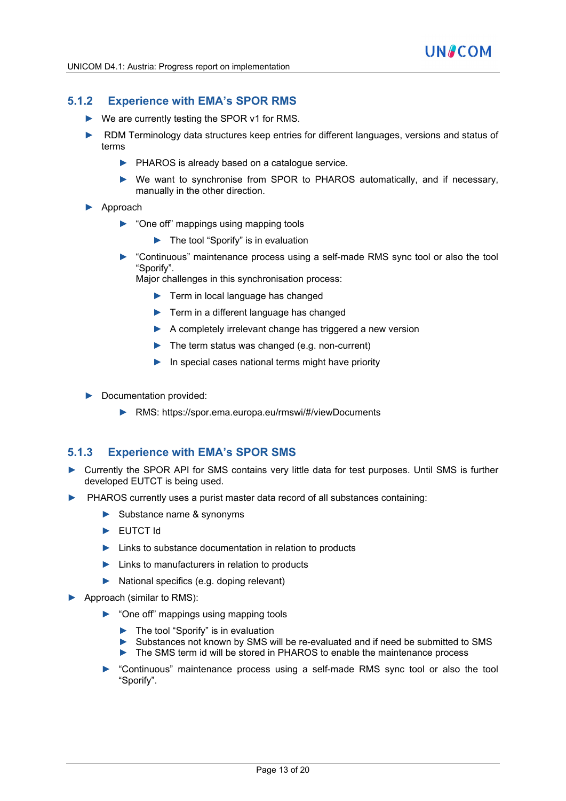## **5.1.2 Experience with EMA's SPOR RMS**

- ► We are currently testing the SPOR v1 for RMS.
- ► RDM Terminology data structures keep entries for different languages, versions and status of terms
	- ► PHAROS is already based on a catalogue service.
	- ► We want to synchronise from SPOR to PHAROS automatically, and if necessary, manually in the other direction.
- ► Approach
	- ► "One off" mappings using mapping tools
		- ► The tool "Sporify" is in evaluation
	- ► "Continuous" maintenance process using a self-made RMS sync tool or also the tool "Sporify".

Major challenges in this synchronisation process:

- ► Term in local language has changed
- ► Term in a different language has changed
- ► A completely irrelevant change has triggered a new version
- ► The term status was changed (e.g. non-current)
- ► In special cases national terms might have priority
- ► Documentation provided:
	- ► RMS: https://spor.ema.europa.eu/rmswi/#/viewDocuments

### **5.1.3 Experience with EMA's SPOR SMS**

- Currently the SPOR API for SMS contains very little data for test purposes. Until SMS is further developed EUTCT is being used.
- PHAROS currently uses a purist master data record of all substances containing:
	- ► Substance name & synonyms
	- ► EUTCT Id
	- ► Links to substance documentation in relation to products
	- ► Links to manufacturers in relation to products
	- ► National specifics (e.g. doping relevant)
- ► Approach (similar to RMS):
	- ► "One off" mappings using mapping tools
		- ► The tool "Sporify" is in evaluation
		- ► Substances not known by SMS will be re-evaluated and if need be submitted to SMS
		- ► The SMS term id will be stored in PHAROS to enable the maintenance process
	- ► "Continuous" maintenance process using a self-made RMS sync tool or also the tool "Sporify".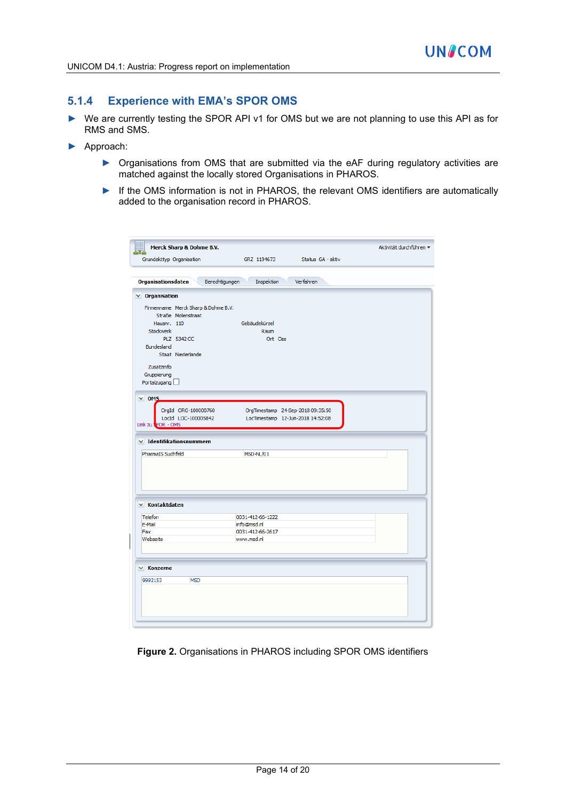### **5.1.4 Experience with EMA's SPOR OMS**

- ► We are currently testing the SPOR API v1 for OMS but we are not planning to use this API as for RMS and SMS.
- ► Approach:
	- ▶ Organisations from OMS that are submitted via the eAF during regulatory activities are matched against the locally stored Organisations in PHAROS.
	- ► If the OMS information is not in PHAROS, the relevant OMS identifiers are automatically added to the organisation record in PHAROS.

| <b>Merck Sharp &amp; Dohme B.V.</b>                                               | GRZ 1194673                  | Status GA - aktiv                 | Aktivität durchführen = |
|-----------------------------------------------------------------------------------|------------------------------|-----------------------------------|-------------------------|
| Grundakttyp Organisation                                                          |                              |                                   |                         |
| <b>Organisationsdaten</b>                                                         | Berechtigungen<br>Inspektion | Verfahren                         |                         |
| $\times$ Organisation                                                             |                              |                                   |                         |
| Firmenname Merck Sharp & Dohme B.V.                                               |                              |                                   |                         |
| Straße Molenstraat                                                                |                              |                                   |                         |
| Hausnr. 110                                                                       | Gebäudekürzel                |                                   |                         |
| Stockwerk                                                                         | Raum                         |                                   |                         |
| PLZ 5342 CC                                                                       | Ort Oss                      |                                   |                         |
| Bundesland                                                                        |                              |                                   |                         |
| Staat Niederlande                                                                 |                              |                                   |                         |
| Zusatzinfo                                                                        |                              |                                   |                         |
| Gruppierung                                                                       |                              |                                   |                         |
| Portalzugang                                                                      |                              |                                   |                         |
|                                                                                   |                              |                                   |                         |
| $\times$ OMS                                                                      |                              |                                   |                         |
| OrgId ORG-100000760                                                               |                              | OrgTimestamp 24-Sep-2018 09:35:50 |                         |
| LocId LOC-100005842                                                               |                              | LocTimestamp 12-Jun-2018 14:52:08 |                         |
|                                                                                   |                              |                                   |                         |
|                                                                                   |                              |                                   |                         |
| Link zu SPOR - OMS<br>$\times$ Identifikationsnummern<br><b>PharmaIS Suchfeld</b> | MSD-NL/01                    |                                   |                         |
|                                                                                   |                              |                                   |                         |
|                                                                                   |                              |                                   |                         |
|                                                                                   |                              |                                   |                         |
|                                                                                   |                              |                                   |                         |
|                                                                                   | 0031-412-66-1222             |                                   |                         |
| Telefon<br>E-Mail                                                                 | info@msd.nl                  |                                   |                         |
| Fax                                                                               | 0031-412-66-2617             |                                   |                         |
| Webseite                                                                          | www.msd.nl                   |                                   |                         |
| $\times$ Kontaktdaten                                                             |                              |                                   |                         |
|                                                                                   |                              |                                   |                         |
|                                                                                   |                              |                                   |                         |
|                                                                                   |                              |                                   |                         |
| 9992153<br><b>MSD</b>                                                             |                              |                                   |                         |
|                                                                                   |                              |                                   |                         |
| $\times$ Konzerne                                                                 |                              |                                   |                         |
|                                                                                   |                              |                                   |                         |

**Figure 2.** Organisations in PHAROS including SPOR OMS identifiers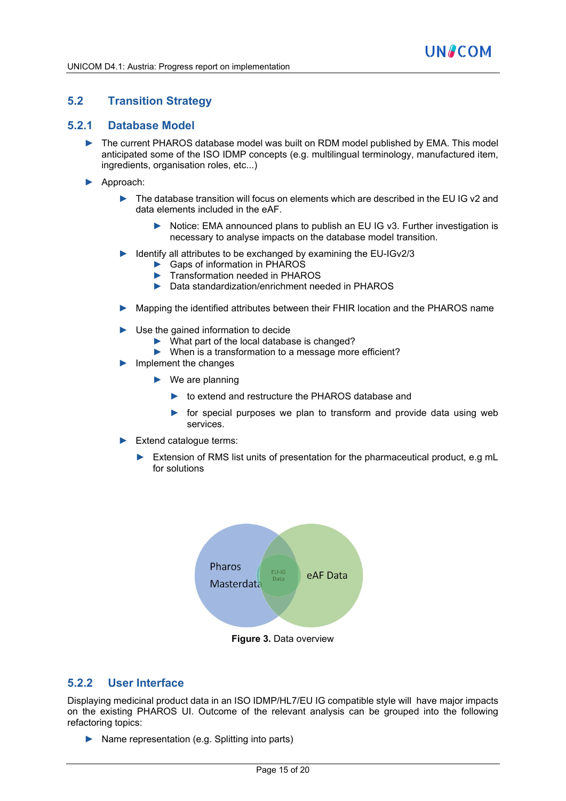## **5.2 Transition Strategy**

#### **5.2.1 Database Model**

- ► The current PHAROS database model was built on RDM model published by EMA. This model anticipated some of the ISO IDMP concepts (e.g. multilingual terminology, manufactured item, ingredients, organisation roles, etc...)
- ► Approach:
	- ► The database transition will focus on elements which are described in the EU IG v2 and data elements included in the eAF.
		- ► Notice: EMA announced plans to publish an EU IG v3. Further investigation is necessary to analyse impacts on the database model transition.
	- Identify all attributes to be exchanged by examining the EU-IGv2/3
		- ► Gaps of information in PHAROS
		- ► Transformation needed in PHAROS<br>► Data standardization/enrichment nee
		- Data standardization/enrichment needed in PHAROS
	- ► Mapping the identified attributes between their FHIR location and the PHAROS name
	- ► Use the gained information to decide
		- ► What part of the local database is changed?
		- ► When is a transformation to a message more efficient?
	- ► Implement the changes
		- $\blacktriangleright$  We are planning
			- ► to extend and restructure the PHAROS database and
			- $\triangleright$  for special purposes we plan to transform and provide data using web services.
	- ► Extend catalogue terms:
		- ► Extension of RMS list units of presentation for the pharmaceutical product, e.g mL for solutions



**Figure 3.** Data overview

### **5.2.2 User Interface**

Displaying medicinal product data in an ISO IDMP/HL7/EU IG compatible style will have major impacts on the existing PHAROS UI. Outcome of the relevant analysis can be grouped into the following refactoring topics:

► Name representation (e.g. Splitting into parts)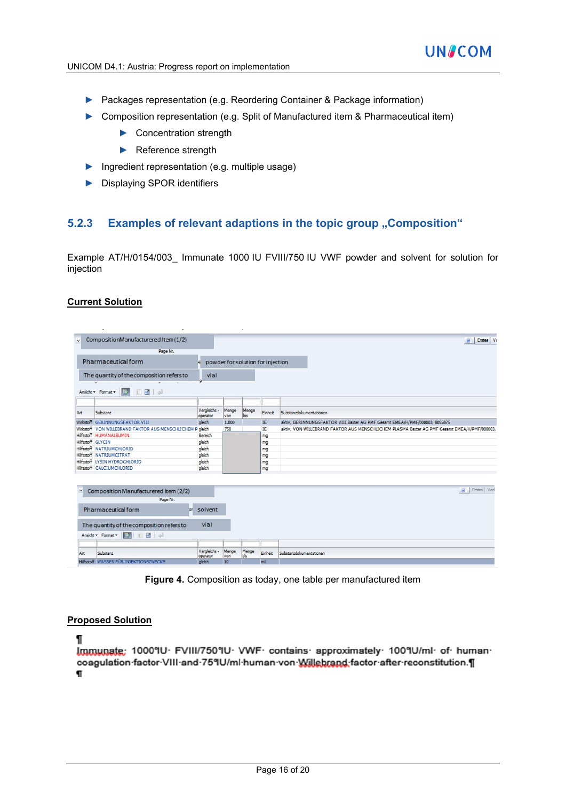- ► Packages representation (e.g. Reordering Container & Package information)
- ► Composition representation (e.g. Split of Manufactured item & Pharmaceutical item)
	- ► Concentration strength
	- ► Reference strength
- ► Ingredient representation (e.g. multiple usage)
- ► Displaying SPOR identifiers

### **5.2.3 Examples of relevant adaptions in the topic group "Composition"**

Example AT/H/0154/003 Immunate 1000 IU FVIII/750 IU VWF powder and solvent for solution for injection

#### **Current Solution**

| $\vee$       | CompositionManufacturered Item (1/2)                      |                          |              |              |                                   | Erstes   Vo<br>同                                                                             |
|--------------|-----------------------------------------------------------|--------------------------|--------------|--------------|-----------------------------------|----------------------------------------------------------------------------------------------|
|              | Page Nr.                                                  |                          |              |              |                                   |                                                                                              |
|              | <b>Pharmaceutical form</b>                                |                          |              |              | powder for solution for injection |                                                                                              |
|              |                                                           |                          |              |              |                                   |                                                                                              |
|              | The quantity of the composition refers to                 | vial                     |              |              |                                   |                                                                                              |
|              |                                                           |                          |              |              |                                   |                                                                                              |
|              | 日田中<br>Ansicht v Format v<br>展                            |                          |              |              |                                   |                                                                                              |
|              |                                                           |                          |              |              |                                   |                                                                                              |
|              |                                                           |                          |              |              |                                   |                                                                                              |
| Art          | Substanz                                                  | Vergleichs -<br>operator | Menge<br>von | Menge<br>bis | Einheit                           | Substanzdokumentationen                                                                      |
|              | Wirkstoff GERINNUNGSFAKTOR VIII                           | gleich                   | 1.000        |              | IE                                | aktiv, GERINNUNGSFAKTOR VIII Baxter AG PMF Gesamt EMEA/H/PMF/000003, 8095875                 |
|              | Wirkstoff VON WILLEBRAND FAKTOR AUS MENSCHLICHEM P gleich |                          | 750          |              | IE                                | aktiv, VON WILLEBRAND FAKTOR AUS MENSCHLICHEM PLASMA Baxter AG PMF Gesamt EMEA/H/PMF/000003, |
|              | Hilfsstoff HUMANALBUMIN                                   | Bereich                  |              |              | mg                                |                                                                                              |
|              | Hilfsstoff GLYCIN                                         | aleich                   |              |              | mg                                |                                                                                              |
|              | Hilfsstoff NATRIUMCHLORID                                 | gleich                   |              |              | mg                                |                                                                                              |
|              | Hilfsstoff NATRIUMCITRAT                                  | gleich                   |              |              | mg                                |                                                                                              |
|              | Hilfsstoff LYSIN HYDROCHLORID                             | gleich                   |              |              | mg                                |                                                                                              |
|              | Hilfsstoff CALCIUMCHLORID                                 | gleich                   |              |              | mg                                |                                                                                              |
|              |                                                           |                          |              |              |                                   |                                                                                              |
|              |                                                           |                          |              |              |                                   |                                                                                              |
| $\checkmark$ | Composition Manufacturered Item (2/2)                     |                          |              |              |                                   | <b>H</b> Erstes Vorl                                                                         |
|              | Page Nr.                                                  |                          |              |              |                                   |                                                                                              |
|              |                                                           |                          |              |              |                                   |                                                                                              |
|              | Pharmaceutical form<br>157                                | solvent                  |              |              |                                   |                                                                                              |
|              |                                                           |                          |              |              |                                   |                                                                                              |
|              | The quantity of the composition refers to                 | vial                     |              |              |                                   |                                                                                              |
|              | □■□<br>Ansicht v Format v<br>■歴』                          |                          |              |              |                                   |                                                                                              |
|              |                                                           |                          |              |              |                                   |                                                                                              |
| Art          | Substanz                                                  | Vergleichs -<br>operator | Menge<br>von | Menge<br>bis | Einheit                           | Substanzdokumentationen                                                                      |
|              | <b>Hilfsstoff WASSER FÜR INJEKTIONSZWECKE</b>             | gleich                   | 10           |              | ml                                |                                                                                              |
|              |                                                           |                          |              |              |                                   |                                                                                              |

**Figure 4.** Composition as today, one table per manufactured item

#### **Proposed Solution**

ſ

Immunate: 1000°IU· FVIII/750°IU· VWF· contains· approximately· 100°IU/ml· of· human· coagulation factor VIII and 75°IU/ml human von Willebrand factor after reconstitution.¶  $\mathbf{F}$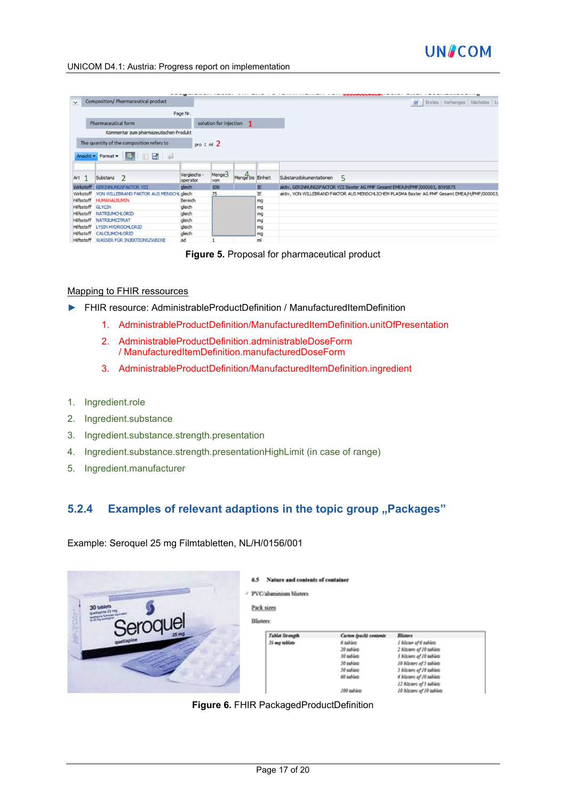

#### UNICOM D4.1: Austria: Progress report on implementation

|                   |                                            |                          |                        |                   |    | <b>************</b>                                                                          |
|-------------------|--------------------------------------------|--------------------------|------------------------|-------------------|----|----------------------------------------------------------------------------------------------|
| $\checkmark$      | <b>Composition/ Pharmaceutical product</b> |                          |                        |                   |    | 同<br>Erstes Vorheriges Nächstes Le                                                           |
|                   |                                            | Page Nr.                 |                        |                   |    |                                                                                              |
|                   | Pharmaceutical form                        |                          | solution for injection | $\mathbf{1}$      |    |                                                                                              |
|                   | Kommentar zum pharmazeutischen Produkt     |                          |                        |                   |    |                                                                                              |
|                   | The quantity of the composition refers to  |                          |                        |                   |    |                                                                                              |
|                   |                                            | pro $1 \text{ ml } 2$    |                        |                   |    |                                                                                              |
|                   | THE A<br>展<br>Ansicht • Format •           |                          |                        |                   |    |                                                                                              |
|                   |                                            |                          |                        |                   |    |                                                                                              |
| Art 1             | Substanz<br>$\mathcal{L}$                  | Vergleichs -<br>operator | Menge3<br>von          | Menge bis Einheit |    | Substanzdokumentationen<br>5                                                                 |
| Wirkstoff         | <b>GERINNUNGSFAKTOR VIII</b>               | gleich                   | 100                    |                   | IE | aktiv, GERINNUNGSFAKTOR VIII Baxter AG PMF Gesamt EMEA/H/PMF/000003, 8095875                 |
| Wirkstoff         | VON WILLEBRAND FAKTOR AUS MENSCHL gleich   |                          | 75                     |                   | IE | aktiv, VON WILLEBRAND FAKTOR AUS MENSCHLICHEM PLASMA Baxter AG PMF Gesamt EMEA/H/PMF/000003, |
|                   | Hilfsstoff HUMANALBUMIN                    | Bereich                  |                        |                   | mg |                                                                                              |
| Hilfsstoff GLYCIN |                                            | gleich                   |                        |                   | mg |                                                                                              |
| Hilfsstoff        | <b>NATRIUMCHLORID</b>                      | gleich                   |                        |                   | mg |                                                                                              |
| Hilfsstoff        | NATRIUMCITRAT                              | gleich                   |                        |                   | mg |                                                                                              |
| Hilfsstoff        | <b>LYSIN HYDROCHLORID</b>                  | gleich                   |                        |                   | mg |                                                                                              |
| Hilfsstoff        | <b>CALCIUMCHLORID</b>                      | gleich                   |                        |                   | mg |                                                                                              |
|                   | Hilfsstoff WASSER FÜR INJEKTIONSZWECKE     | ad                       |                        |                   | ml |                                                                                              |

**Figure 5.** Proposal for pharmaceutical product

#### Mapping to FHIR ressources

- ► FHIR resource: AdministrableProductDefinition / ManufacturedItemDefinition
	- 1. AdministrableProductDefinition/ManufacturedItemDefinition.unitOfPresentation
	- 2. AdministrableProductDefinition.administrableDoseForm / ManufacturedItemDefinition.manufacturedDoseForm
	- 3. AdministrableProductDefinition/ManufacturedItemDefinition.ingredient
- 1. Ingredient.role
- 2. Ingredient.substance
- 3. Ingredient.substance.strength.presentation
- 4. Ingredient.substance.strength.presentationHighLimit (in case of range)
- 5. Ingredient.manufacturer

## **5.2.4 Examples of relevant adaptions in the topic group "Packages"**

Example: Seroquel 25 mg Filmtabletten, NL/H/0156/001

| 30 tablets<br>25-mg curriculum | Nature and contents of container<br>6.5<br>PVC/aluminium blisters<br>$\mathcal{A}$<br>Pack sizes<br>Blisters: |                                                                                                                          |                                                                                                                                                                                                                                           |  |
|--------------------------------|---------------------------------------------------------------------------------------------------------------|--------------------------------------------------------------------------------------------------------------------------|-------------------------------------------------------------------------------------------------------------------------------------------------------------------------------------------------------------------------------------------|--|
| Seroquel                       | <b>Tablet Strength</b><br>25 mg tablets                                                                       | Carton (pack) contents<br>6 tablets<br>20 tablets<br>30 tablets<br>50 tablets<br>50 tablets<br>60 tablets<br>J00 tablets | <b>Blisters</b><br>1 blizter of 6 sablets<br>2 Michers of 10 tablets<br>3 blizters of 10 tablets<br>10 Nictors of 5 tobiets<br>5 blasses of 10 tablets<br>6 Michers of 10 tablets<br>12 blizters of 5 tablets<br>10 Micters of 10 toblets |  |

**Figure 6.** FHIR PackagedProductDefinition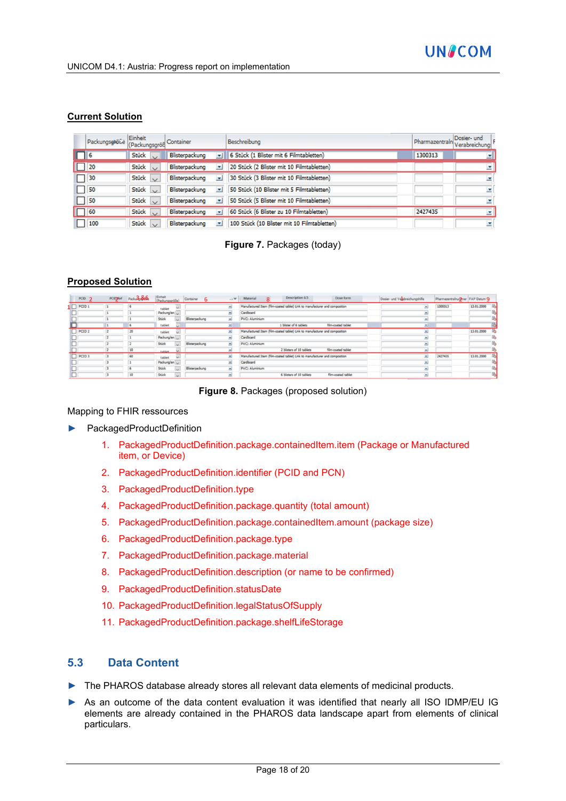

#### **Current Solution**

|          | Packungsgleice Einheit |                                | Container                                  | Beschreibung                                | Pharmazentraln | Dosier- und<br>Verabreichung |
|----------|------------------------|--------------------------------|--------------------------------------------|---------------------------------------------|----------------|------------------------------|
| $\Box$ 6 |                        | Stück $\overline{\phantom{a}}$ | Blisterpackung                             | v   6 Stück (1 Blister mit 6 Filmtabletten) | 1300313        | 모                            |
|          |                        | Stück $\cup$                   | Blisterpackung<br>۰                        | 20 Stück (2 Blister mit 10 Filmtabletten)   |                | ×                            |
|          | $\Box$ 30              | Stück $\vee$                   | Blisterpackung<br>×                        | 30 Stück (3 Blister mit 10 Filmtabletten)   |                | $\overline{\phantom{a}}$     |
|          | 150                    | Stück $\vee$                   | Blisterpackung<br>v                        | 50 Stück (10 Blister mit 5 Filmtabletten)   |                | $\overline{\mathbf{x}}$      |
|          | $\vert$ 50             | Stück $\vee$                   | Blisterpackung<br>×                        | 50 Stück (5 Blister mit 10 Filmtabletten)   |                | $\overline{\mathbf{v}}$      |
|          | $\Box$ 60              | Stück                          | Blisterpackung<br>$\overline{\phantom{a}}$ | 60 Stück (6 Blister zu 10 Filmtabletten)    | 2427435        | $\overline{\mathbf{x}}$      |
|          | 100                    | Stück $\vee$                   | Blisterpackung                             | 100 Stück (10 Blister mit 10 Filmtabletten) |                | $\overline{\mathbf{v}}$      |

**Figure 7.** Packages (today)

### **Proposed Solution**

| PCID <sub>2</sub> | <b>PCIDRef</b> | $PacA - 3$ | Einheit<br>(Packungsgröße) | Container<br>-6 | 二甲 | Description 6.5<br>Dose form<br>Material<br>Dosier- und Venbreichungshilfe<br>Pharmazentralnuriner FAP Datum Q<br>$\circ$ |            |
|-------------------|----------------|------------|----------------------------|-----------------|----|---------------------------------------------------------------------------------------------------------------------------|------------|
| PCID <sub>1</sub> |                |            | tablet                     |                 |    | Manufactured Item (film-coated tablet) Link to manufacturer and composition<br>1300313<br>×                               | 13.01.2000 |
|                   |                |            | Packung/en                 |                 |    | Cardboard                                                                                                                 |            |
|                   |                |            | Shück                      | Blisterpackung  | ×  | PVC: Aluminium<br>S.                                                                                                      |            |
|                   |                | 6          | tablet                     |                 | 의  | 1 blister of 6 tablets<br>film-coated tablet<br>ᅬ                                                                         |            |
| PCID <sub>2</sub> |                | 20         | tablet<br>$\sim$           |                 | ≖  | Manufactured Item (film-coated tablet) Link to manufacturer and composition<br>Ξ                                          | 13.01.2000 |
|                   |                |            | Packung/en                 |                 |    | Cardboard<br>Ξ                                                                                                            |            |
|                   |                |            | Stück                      | Blisterpackung  |    | <b>PVC: Aluminium</b><br>Ξ                                                                                                |            |
|                   |                | 10         | tablet                     |                 | s. | film-coated tablet<br>2 blisters of 10 tablets<br>$\overline{\phantom{a}}$                                                |            |
| PCID <sub>3</sub> |                | 60         | tablet<br>$\sim$           |                 |    | Manufactured Item (film-coated tablet) Link to manufacturer and composition<br>2427435<br>٠                               | 13.01.2000 |
|                   |                |            | Packung/en                 |                 | ≖  | Cardboard<br>크                                                                                                            |            |
|                   |                |            | Stück                      | Blisterpackung  |    | PVC: Aluminium<br>$\overline{\phantom{a}}$                                                                                |            |
|                   |                | 10         | Stück                      |                 |    | film-coated tablet<br>6 blisters of 10 tablets<br>×                                                                       |            |

**Figure 8.** Packages (proposed solution)

#### Mapping to FHIR ressources

- ► PackagedProductDefinition
	- 1. PackagedProductDefinition.package.containedItem.item (Package or Manufactured item, or Device)
	- 2. PackagedProductDefinition.identifier (PCID and PCN)
	- 3. PackagedProductDefinition.type
	- 4. PackagedProductDefinition.package.quantity (total amount)
	- 5. PackagedProductDefinition.package.containedItem.amount (package size)
	- 6. PackagedProductDefinition.package.type
	- 7. PackagedProductDefinition.package.material
	- 8. PackagedProductDefinition.description (or name to be confirmed)
	- 9. PackagedProductDefinition.statusDate
	- 10. PackagedProductDefinition.legalStatusOfSupply
	- 11. PackagedProductDefinition.package.shelfLifeStorage

### **5.3 Data Content**

- ► The PHAROS database already stores all relevant data elements of medicinal products.
- ► As an outcome of the data content evaluation it was identified that nearly all ISO IDMP/EU IG elements are already contained in the PHAROS data landscape apart from elements of clinical particulars.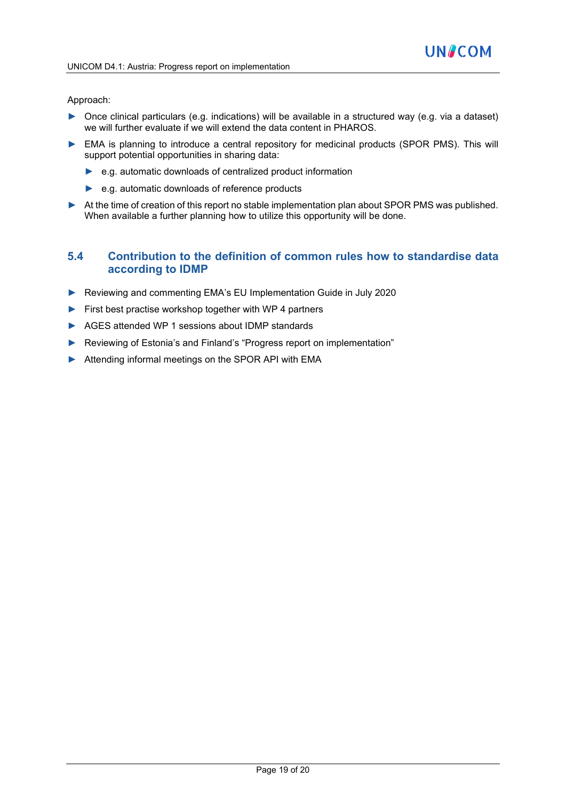#### Approach:

- ► Once clinical particulars (e.g. indications) will be available in a structured way (e.g. via a dataset) we will further evaluate if we will extend the data content in PHAROS.
- ► EMA is planning to introduce a central repository for medicinal products (SPOR PMS). This will support potential opportunities in sharing data:
	- ► e.g. automatic downloads of centralized product information
	- ► e.g. automatic downloads of reference products
- ► At the time of creation of this report no stable implementation plan about SPOR PMS was published. When available a further planning how to utilize this opportunity will be done.

### **5.4 Contribution to the definition of common rules how to standardise data according to IDMP**

- ► Reviewing and commenting EMA's EU Implementation Guide in July 2020
- ► First best practise workshop together with WP 4 partners
- ► AGES attended WP 1 sessions about IDMP standards
- ► Reviewing of Estonia's and Finland's "Progress report on implementation"
- ► Attending informal meetings on the SPOR API with EMA